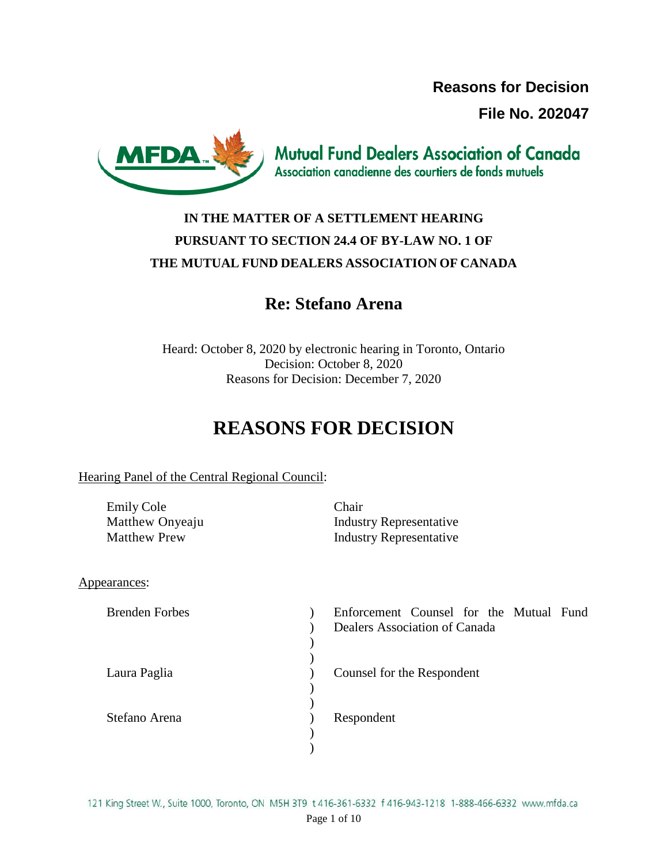**Reasons for Decision File No. 202047**



**Mutual Fund Dealers Association of Canada** Association canadienne des courtiers de fonds mutuels

# **IN THE MATTER OF A SETTLEMENT HEARING PURSUANT TO SECTION 24.4 OF BY-LAW NO. 1 OF THE MUTUAL FUND DEALERS ASSOCIATION OF CANADA**

# **Re: Stefano Arena**

Heard: October 8, 2020 by electronic hearing in Toronto, Ontario Decision: October 8, 2020 Reasons for Decision: December 7, 2020

# **REASONS FOR DECISION**

# Hearing Panel of the Central Regional Council:

| <b>Emily Cole</b>   | Chair                   |
|---------------------|-------------------------|
| Matthew Onyeaju     | Industry Representative |
| <b>Matthew Prew</b> | Industry Representative |

# Appearances:

| <b>Brenden Forbes</b> | Enforcement Counsel for the Mutual Fund<br>Dealers Association of Canada |
|-----------------------|--------------------------------------------------------------------------|
| Laura Paglia          | Counsel for the Respondent                                               |
| Stefano Arena         | Respondent                                                               |

121 King Street W., Suite 1000, Toronto, ON M5H 3T9 t 416-361-6332 f 416-943-1218 1-888-466-6332 www.mfda.ca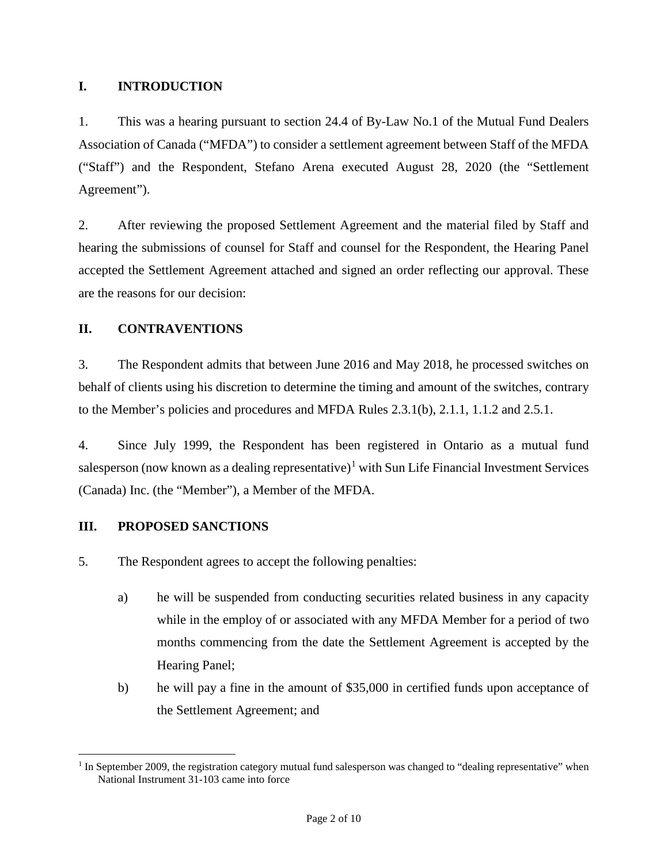# **I. INTRODUCTION**

1. This was a hearing pursuant to section 24.4 of By-Law No.1 of the Mutual Fund Dealers Association of Canada ("MFDA") to consider a settlement agreement between Staff of the MFDA ("Staff") and the Respondent, Stefano Arena executed August 28, 2020 (the "Settlement Agreement").

2. After reviewing the proposed Settlement Agreement and the material filed by Staff and hearing the submissions of counsel for Staff and counsel for the Respondent, the Hearing Panel accepted the Settlement Agreement attached and signed an order reflecting our approval. These are the reasons for our decision:

# **II. CONTRAVENTIONS**

3. The Respondent admits that between June 2016 and May 2018, he processed switches on behalf of clients using his discretion to determine the timing and amount of the switches, contrary to the Member's policies and procedures and MFDA Rules 2.3.1(b), 2.1.1, 1.1.2 and 2.5.1.

4. Since July 1999, the Respondent has been registered in Ontario as a mutual fund salesperson (now known as a dealing representative)<sup>[1](#page-1-0)</sup> with Sun Life Financial Investment Services (Canada) Inc. (the "Member"), a Member of the MFDA.

# **III. PROPOSED SANCTIONS**

5. The Respondent agrees to accept the following penalties:

- a) he will be suspended from conducting securities related business in any capacity while in the employ of or associated with any MFDA Member for a period of two months commencing from the date the Settlement Agreement is accepted by the Hearing Panel;
- b) he will pay a fine in the amount of \$35,000 in certified funds upon acceptance of the Settlement Agreement; and

<span id="page-1-0"></span> $1$  In September 2009, the registration category mutual fund salesperson was changed to "dealing representative" when National Instrument 31-103 came into force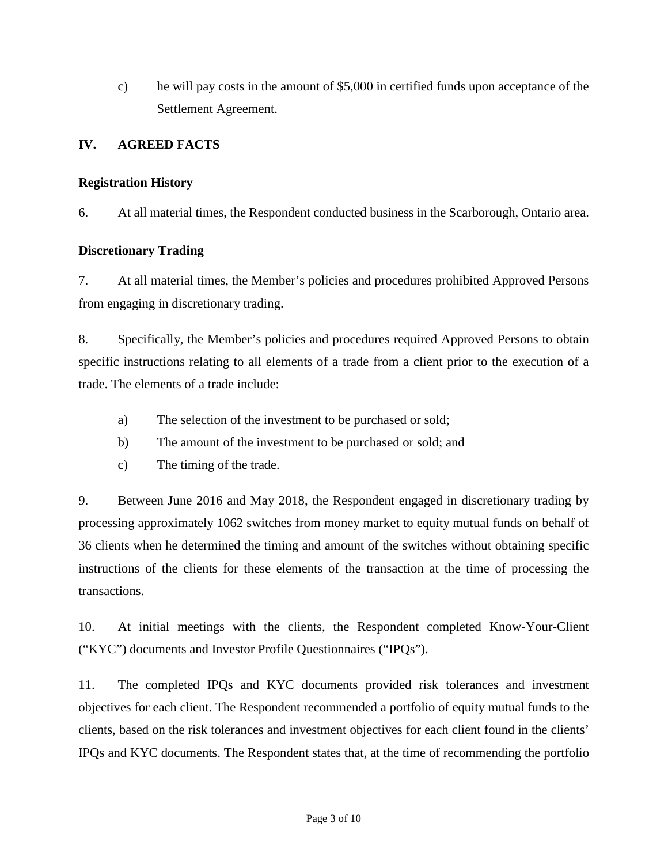c) he will pay costs in the amount of \$5,000 in certified funds upon acceptance of the Settlement Agreement.

# **IV. AGREED FACTS**

#### **Registration History**

6. At all material times, the Respondent conducted business in the Scarborough, Ontario area.

#### **Discretionary Trading**

7. At all material times, the Member's policies and procedures prohibited Approved Persons from engaging in discretionary trading.

8. Specifically, the Member's policies and procedures required Approved Persons to obtain specific instructions relating to all elements of a trade from a client prior to the execution of a trade. The elements of a trade include:

- a) The selection of the investment to be purchased or sold;
- b) The amount of the investment to be purchased or sold; and
- c) The timing of the trade.

9. Between June 2016 and May 2018, the Respondent engaged in discretionary trading by processing approximately 1062 switches from money market to equity mutual funds on behalf of 36 clients when he determined the timing and amount of the switches without obtaining specific instructions of the clients for these elements of the transaction at the time of processing the transactions.

10. At initial meetings with the clients, the Respondent completed Know-Your-Client ("KYC") documents and Investor Profile Questionnaires ("IPQs").

11. The completed IPQs and KYC documents provided risk tolerances and investment objectives for each client. The Respondent recommended a portfolio of equity mutual funds to the clients, based on the risk tolerances and investment objectives for each client found in the clients' IPQs and KYC documents. The Respondent states that, at the time of recommending the portfolio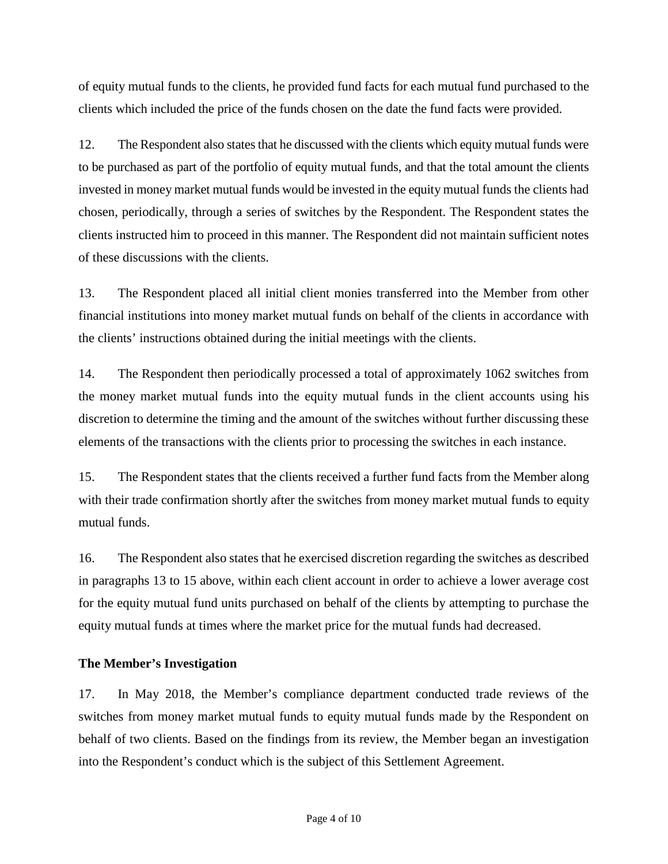of equity mutual funds to the clients, he provided fund facts for each mutual fund purchased to the clients which included the price of the funds chosen on the date the fund facts were provided.

12. The Respondent also states that he discussed with the clients which equity mutual funds were to be purchased as part of the portfolio of equity mutual funds, and that the total amount the clients invested in money market mutual funds would be invested in the equity mutual funds the clients had chosen, periodically, through a series of switches by the Respondent. The Respondent states the clients instructed him to proceed in this manner. The Respondent did not maintain sufficient notes of these discussions with the clients.

13. The Respondent placed all initial client monies transferred into the Member from other financial institutions into money market mutual funds on behalf of the clients in accordance with the clients' instructions obtained during the initial meetings with the clients.

14. The Respondent then periodically processed a total of approximately 1062 switches from the money market mutual funds into the equity mutual funds in the client accounts using his discretion to determine the timing and the amount of the switches without further discussing these elements of the transactions with the clients prior to processing the switches in each instance.

15. The Respondent states that the clients received a further fund facts from the Member along with their trade confirmation shortly after the switches from money market mutual funds to equity mutual funds.

16. The Respondent also states that he exercised discretion regarding the switches as described in paragraphs 13 to 15 above, within each client account in order to achieve a lower average cost for the equity mutual fund units purchased on behalf of the clients by attempting to purchase the equity mutual funds at times where the market price for the mutual funds had decreased.

# **The Member's Investigation**

17. In May 2018, the Member's compliance department conducted trade reviews of the switches from money market mutual funds to equity mutual funds made by the Respondent on behalf of two clients. Based on the findings from its review, the Member began an investigation into the Respondent's conduct which is the subject of this Settlement Agreement.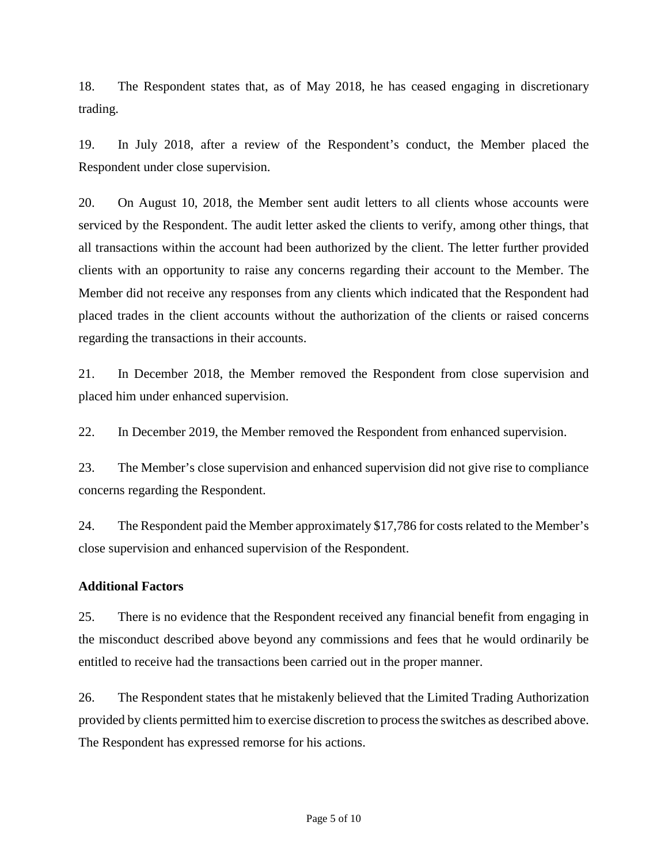18. The Respondent states that, as of May 2018, he has ceased engaging in discretionary trading.

19. In July 2018, after a review of the Respondent's conduct, the Member placed the Respondent under close supervision.

20. On August 10, 2018, the Member sent audit letters to all clients whose accounts were serviced by the Respondent. The audit letter asked the clients to verify, among other things, that all transactions within the account had been authorized by the client. The letter further provided clients with an opportunity to raise any concerns regarding their account to the Member. The Member did not receive any responses from any clients which indicated that the Respondent had placed trades in the client accounts without the authorization of the clients or raised concerns regarding the transactions in their accounts.

21. In December 2018, the Member removed the Respondent from close supervision and placed him under enhanced supervision.

22. In December 2019, the Member removed the Respondent from enhanced supervision.

23. The Member's close supervision and enhanced supervision did not give rise to compliance concerns regarding the Respondent.

24. The Respondent paid the Member approximately \$17,786 for costs related to the Member's close supervision and enhanced supervision of the Respondent.

#### **Additional Factors**

25. There is no evidence that the Respondent received any financial benefit from engaging in the misconduct described above beyond any commissions and fees that he would ordinarily be entitled to receive had the transactions been carried out in the proper manner.

26. The Respondent states that he mistakenly believed that the Limited Trading Authorization provided by clients permitted him to exercise discretion to process the switches as described above. The Respondent has expressed remorse for his actions.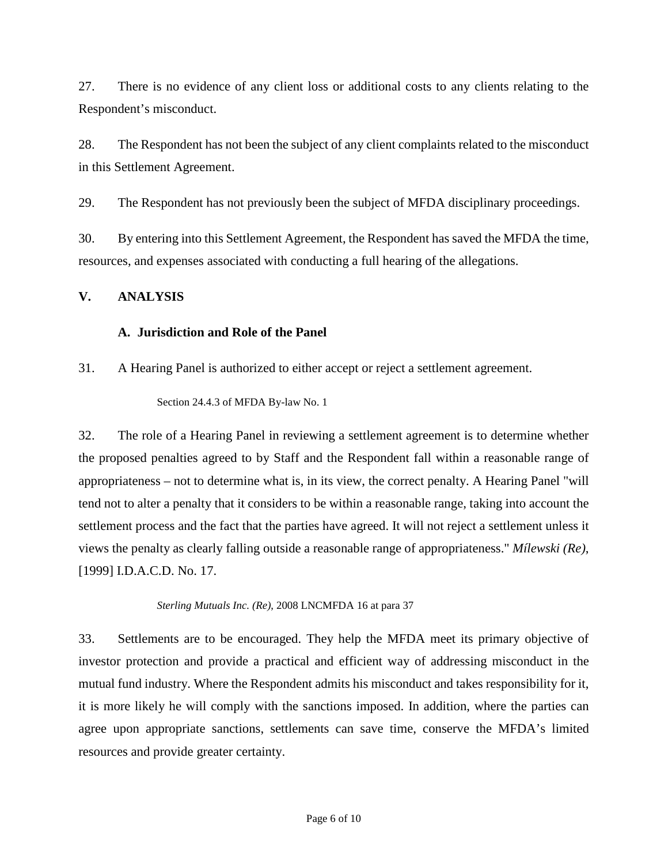27. There is no evidence of any client loss or additional costs to any clients relating to the Respondent's misconduct.

28. The Respondent has not been the subject of any client complaints related to the misconduct in this Settlement Agreement.

29. The Respondent has not previously been the subject of MFDA disciplinary proceedings.

30. By entering into this Settlement Agreement, the Respondent has saved the MFDA the time, resources, and expenses associated with conducting a full hearing of the allegations.

# **V. ANALYSIS**

# **A. Jurisdiction and Role of the Panel**

31. A Hearing Panel is authorized to either accept or reject a settlement agreement.

Section 24.4.3 of MFDA By-law No. 1

32. The role of a Hearing Panel in reviewing a settlement agreement is to determine whether the proposed penalties agreed to by Staff and the Respondent fall within a reasonable range of appropriateness – not to determine what is, in its view, the correct penalty. A Hearing Panel "will tend not to alter a penalty that it considers to be within a reasonable range, taking into account the settlement process and the fact that the parties have agreed. It will not reject a settlement unless it views the penalty as clearly falling outside a reasonable range of appropriateness." *Mílewski (Re)*, [1999] I.D.A.C.D. No. 17.

*Sterling Mutuals Inc. (Re)*, 2008 LNCMFDA 16 at para 37

33. Settlements are to be encouraged. They help the MFDA meet its primary objective of investor protection and provide a practical and efficient way of addressing misconduct in the mutual fund industry. Where the Respondent admits his misconduct and takes responsibility for it, it is more likely he will comply with the sanctions imposed. In addition, where the parties can agree upon appropriate sanctions, settlements can save time, conserve the MFDA's limited resources and provide greater certainty.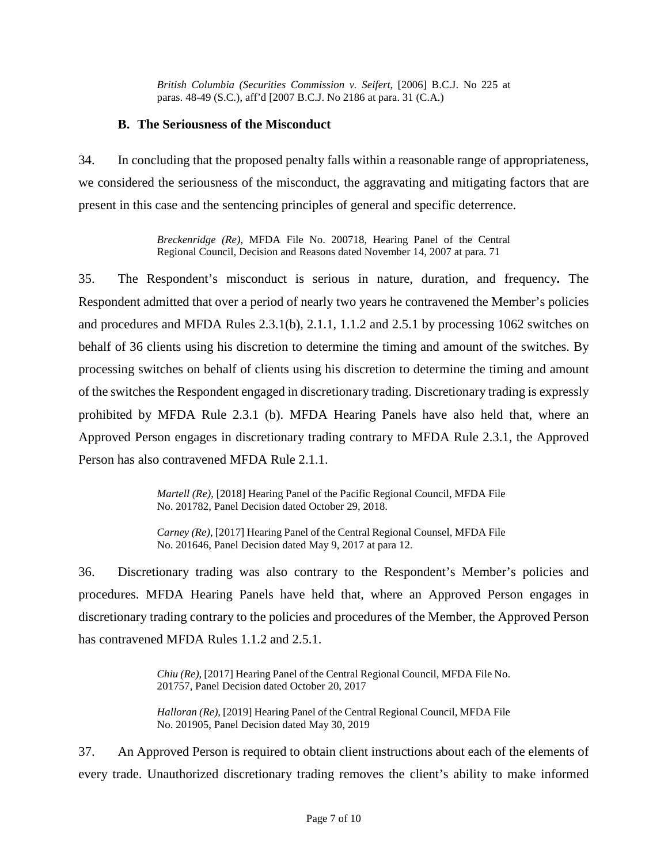*British Columbia (Securities Commission v. Seifert*, [2006] B.C.J. No 225 at paras. 48-49 (S.C.), aff'd [2007 B.C.J. No 2186 at para. 31 (C.A.)

#### **B. The Seriousness of the Misconduct**

34. In concluding that the proposed penalty falls within a reasonable range of appropriateness, we considered the seriousness of the misconduct, the aggravating and mitigating factors that are present in this case and the sentencing principles of general and specific deterrence.

> *Breckenridge (Re)*, MFDA File No. 200718, Hearing Panel of the Central Regional Council, Decision and Reasons dated November 14, 2007 at para. 71

35. The Respondent's misconduct is serious in nature, duration, and frequency**.** The Respondent admitted that over a period of nearly two years he contravened the Member's policies and procedures and MFDA Rules 2.3.1(b), 2.1.1, 1.1.2 and 2.5.1 by processing 1062 switches on behalf of 36 clients using his discretion to determine the timing and amount of the switches. By processing switches on behalf of clients using his discretion to determine the timing and amount of the switches the Respondent engaged in discretionary trading. Discretionary trading is expressly prohibited by MFDA Rule 2.3.1 (b). MFDA Hearing Panels have also held that, where an Approved Person engages in discretionary trading contrary to MFDA Rule 2.3.1, the Approved Person has also contravened MFDA Rule 2.1.1.

> *Martell (Re)*, [2018] Hearing Panel of the Pacific Regional Council, MFDA File No. 201782, Panel Decision dated October 29, 2018.

> *Carney (Re)*, [2017] Hearing Panel of the Central Regional Counsel, MFDA File No. 201646, Panel Decision dated May 9, 2017 at para 12.

36. Discretionary trading was also contrary to the Respondent's Member's policies and procedures. MFDA Hearing Panels have held that, where an Approved Person engages in discretionary trading contrary to the policies and procedures of the Member, the Approved Person has contravened MFDA Rules 1.1.2 and 2.5.1.

> *Chiu (Re)*, [2017] Hearing Panel of the Central Regional Council, MFDA File No. 201757, Panel Decision dated October 20, 2017

> *Halloran (Re)*, [2019] Hearing Panel of the Central Regional Council, MFDA File No. 201905, Panel Decision dated May 30, 2019

37. An Approved Person is required to obtain client instructions about each of the elements of every trade. Unauthorized discretionary trading removes the client's ability to make informed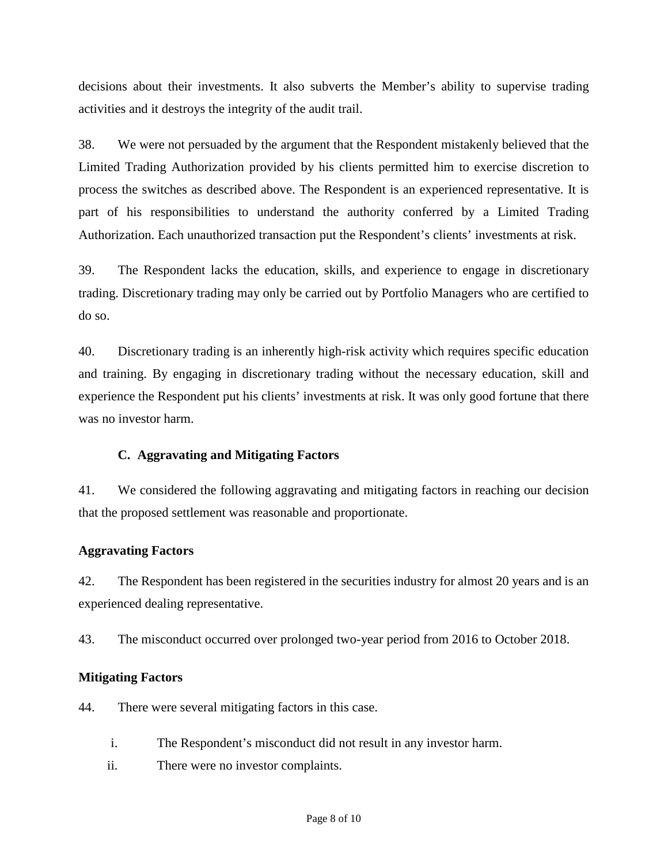decisions about their investments. It also subverts the Member's ability to supervise trading activities and it destroys the integrity of the audit trail.

38. We were not persuaded by the argument that the Respondent mistakenly believed that the Limited Trading Authorization provided by his clients permitted him to exercise discretion to process the switches as described above. The Respondent is an experienced representative. It is part of his responsibilities to understand the authority conferred by a Limited Trading Authorization. Each unauthorized transaction put the Respondent's clients' investments at risk.

39. The Respondent lacks the education, skills, and experience to engage in discretionary trading. Discretionary trading may only be carried out by Portfolio Managers who are certified to do so.

40. Discretionary trading is an inherently high-risk activity which requires specific education and training. By engaging in discretionary trading without the necessary education, skill and experience the Respondent put his clients' investments at risk. It was only good fortune that there was no investor harm.

# **C. Aggravating and Mitigating Factors**

41. We considered the following aggravating and mitigating factors in reaching our decision that the proposed settlement was reasonable and proportionate.

#### **Aggravating Factors**

42. The Respondent has been registered in the securities industry for almost 20 years and is an experienced dealing representative.

43. The misconduct occurred over prolonged two-year period from 2016 to October 2018.

# **Mitigating Factors**

44. There were several mitigating factors in this case.

- i. The Respondent's misconduct did not result in any investor harm.
- ii. There were no investor complaints.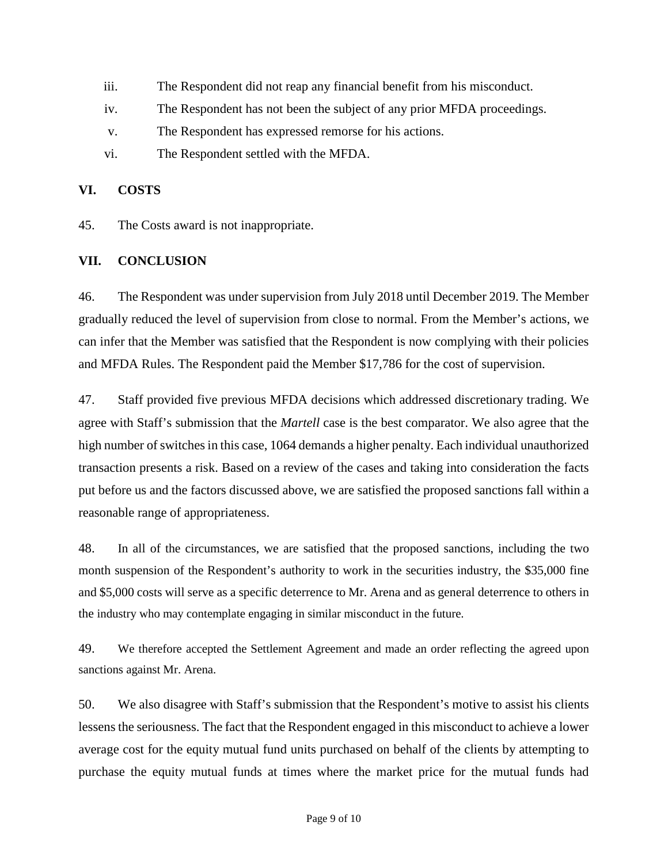- iii. The Respondent did not reap any financial benefit from his misconduct.
- iv. The Respondent has not been the subject of any prior MFDA proceedings.
- v. The Respondent has expressed remorse for his actions.
- vi. The Respondent settled with the MFDA.

#### **VI. COSTS**

45. The Costs award is not inappropriate.

#### **VII. CONCLUSION**

46. The Respondent was under supervision from July 2018 until December 2019. The Member gradually reduced the level of supervision from close to normal. From the Member's actions, we can infer that the Member was satisfied that the Respondent is now complying with their policies and MFDA Rules. The Respondent paid the Member \$17,786 for the cost of supervision.

47. Staff provided five previous MFDA decisions which addressed discretionary trading. We agree with Staff's submission that the *Martell* case is the best comparator. We also agree that the high number of switches in this case, 1064 demands a higher penalty. Each individual unauthorized transaction presents a risk. Based on a review of the cases and taking into consideration the facts put before us and the factors discussed above, we are satisfied the proposed sanctions fall within a reasonable range of appropriateness.

48. In all of the circumstances, we are satisfied that the proposed sanctions, including the two month suspension of the Respondent's authority to work in the securities industry, the \$35,000 fine and \$5,000 costs will serve as a specific deterrence to Mr. Arena and as general deterrence to others in the industry who may contemplate engaging in similar misconduct in the future.

49. We therefore accepted the Settlement Agreement and made an order reflecting the agreed upon sanctions against Mr. Arena.

50. We also disagree with Staff's submission that the Respondent's motive to assist his clients lessens the seriousness. The fact that the Respondent engaged in this misconduct to achieve a lower average cost for the equity mutual fund units purchased on behalf of the clients by attempting to purchase the equity mutual funds at times where the market price for the mutual funds had